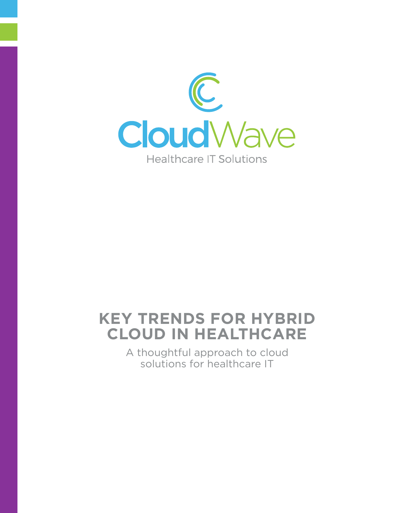

# **Key Trends for Hybrid Cloud in Healthcare**

A thoughtful approach to cloud solutions for healthcare IT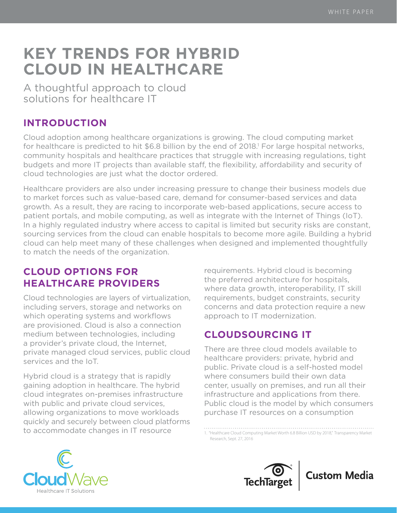# **Key Trends for Hybrid Cloud in Healthcare**

A thoughtful approach to cloud solutions for healthcare IT

## **INTRODUCTION**

Cloud adoption among healthcare organizations is growing. The cloud computing market for healthcare is predicted to hit \$6.8 billion by the end of 2018.<sup>1</sup> For large hospital networks, community hospitals and healthcare practices that struggle with increasing regulations, tight budgets and more IT projects than available staff, the flexibility, affordability and security of cloud technologies are just what the doctor ordered.

Healthcare providers are also under increasing pressure to change their business models due to market forces such as value-based care, demand for consumer-based services and data growth. As a result, they are racing to incorporate web-based applications, secure access to patient portals, and mobile computing, as well as integrate with the Internet of Things (IoT). In a highly regulated industry where access to capital is limited but security risks are constant, sourcing services from the cloud can enable hospitals to become more agile. Building a hybrid cloud can help meet many of these challenges when designed and implemented thoughtfully to match the needs of the organization.

## **Cloud options for healthcare providers**

Cloud technologies are layers of virtualization, including servers, storage and networks on which operating systems and workflows are provisioned. Cloud is also a connection medium between technologies, including a provider's private cloud, the Internet, private managed cloud services, public cloud services and the IoT.

Hybrid cloud is a strategy that is rapidly gaining adoption in healthcare. The hybrid cloud integrates on-premises infrastructure with public and private cloud services, allowing organizations to move workloads quickly and securely between cloud platforms to accommodate changes in IT resource

requirements. Hybrid cloud is becoming the preferred architecture for hospitals, where data growth, interoperability, IT skill requirements, budget constraints, security concerns and data protection require a new approach to IT modernization.

## **Cloudsourcing IT**

There are three cloud models available to healthcare providers: private, hybrid and public. Private cloud is a self-hosted model where consumers build their own data center, usually on premises, and run all their infrastructure and applications from there. Public cloud is the model by which consumers purchase IT resources on a consumption

1. ["Healthcare Cloud Computing Market Worth 6.8 Billion USD by 2018,"](https://globenewswire.com/news-release/2016/09/27/874923/0/en/Healthcare-Cloud-Computing-Market-worth-6-8-Billion-USD-by-2018-Increasing-Awareness-about-Benefits-of-Cloud-Architecture-Crucial-for-Adoption-of-Cloud-Computing-TMR.html) Transparency Market Research, Sept. 27, 2016





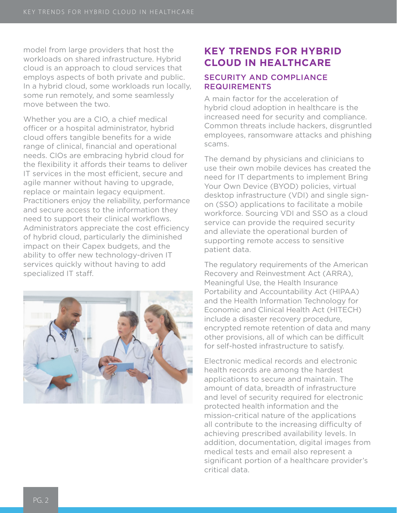model from large providers that host the workloads on shared infrastructure. Hybrid cloud is an approach to cloud services that employs aspects of both private and public. In a hybrid cloud, some workloads run locally, some run remotely, and some seamlessly move between the two.

Whether you are a CIO, a chief medical officer or a hospital administrator, hybrid cloud offers tangible benefits for a wide range of clinical, financial and operational needs. CIOs are embracing hybrid cloud for the flexibility it affords their teams to deliver IT services in the most efficient, secure and agile manner without having to upgrade, replace or maintain legacy equipment. Practitioners enjoy the reliability, performance and secure access to the information they need to support their clinical workflows. Administrators appreciate the cost efficiency of hybrid cloud, particularly the diminished impact on their Capex budgets, and the ability to offer new technology-driven IT services quickly without having to add specialized IT staff.



### **Key trends for hybrid cloud in healthcare**

#### Security and compliance **REQUIREMENTS**

A main factor for the acceleration of hybrid cloud adoption in healthcare is the increased need for security and compliance. Common threats include hackers, disgruntled employees, ransomware attacks and phishing scams.

The demand by physicians and clinicians to use their own mobile devices has created the need for IT departments to implement Bring Your Own Device (BYOD) policies, virtual desktop infrastructure (VDI) and single signon (SSO) applications to facilitate a mobile workforce. Sourcing VDI and SSO as a cloud service can provide the required security and alleviate the operational burden of supporting remote access to sensitive patient data.

The regulatory requirements of the American Recovery and Reinvestment Act (ARRA), Meaningful Use, the Health Insurance Portability and Accountability Act (HIPAA) and the Health Information Technology for Economic and Clinical Health Act (HITECH) include a disaster recovery procedure, encrypted remote retention of data and many other provisions, all of which can be difficult for self-hosted infrastructure to satisfy.

Electronic medical records and electronic health records are among the hardest applications to secure and maintain. The amount of data, breadth of infrastructure and level of security required for electronic protected health information and the mission-critical nature of the applications all contribute to the increasing difficulty of achieving prescribed availability levels. In addition, documentation, digital images from medical tests and email also represent a significant portion of a healthcare provider's critical data.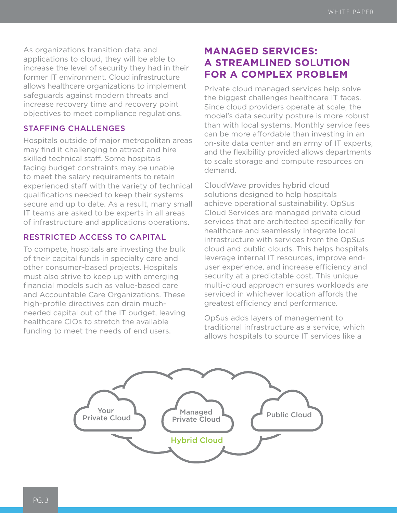As organizations transition data and applications to cloud, they will be able to increase the level of security they had in their former IT environment. Cloud infrastructure allows healthcare organizations to implement safeguards against modern threats and increase recovery time and recovery point objectives to meet compliance regulations.

#### Staffing challenges

Hospitals outside of major metropolitan areas may find it challenging to attract and hire skilled technical staff. Some hospitals facing budget constraints may be unable to meet the salary requirements to retain experienced staff with the variety of technical qualifications needed to keep their systems secure and up to date. As a result, many small IT teams are asked to be experts in all areas of infrastructure and applications operations.

#### Restricted access to capital

To compete, hospitals are investing the bulk of their capital funds in specialty care and other consumer-based projects. Hospitals must also strive to keep up with emerging financial models such as value-based care and Accountable Care Organizations. These high-profile directives can drain muchneeded capital out of the IT budget, leaving healthcare CIOs to stretch the available funding to meet the needs of end users.

## **Managed services: A streamlined solution for a complex problem**

Private cloud managed services help solve the biggest challenges healthcare IT faces. Since cloud providers operate at scale, the model's data security posture is more robust than with local systems. Monthly service fees can be more affordable than investing in an on-site data center and an army of IT experts, and the flexibility provided allows departments to scale storage and compute resources on demand.

CloudWave provides hybrid cloud solutions designed to help hospitals achieve operational sustainability. OpSus Cloud Services are managed private cloud services that are architected specifically for healthcare and seamlessly integrate local infrastructure with services from the OpSus cloud and public clouds. This helps hospitals leverage internal IT resources, improve enduser experience, and increase efficiency and security at a predictable cost. This unique multi-cloud approach ensures workloads are serviced in whichever location affords the greatest efficiency and performance.

OpSus adds layers of management to traditional infrastructure as a service, which allows hospitals to source IT services like a